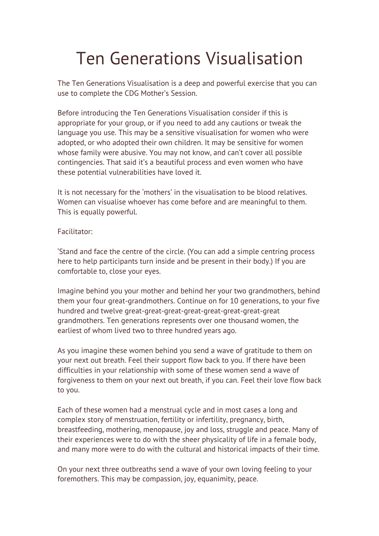## Ten Generations Visualisation

The Ten Generations Visualisation is a deep and powerful exercise that you can use to complete the CDG Mother's Session.

Before introducing the Ten Generations Visualisation consider if this is appropriate for your group, or if you need to add any cautions or tweak the language you use. This may be a sensitive visualisation for women who were adopted, or who adopted their own children. It may be sensitive for women whose family were abusive. You may not know, and can't cover all possible contingencies. That said it's a beautiful process and even women who have these potential vulnerabilities have loved it.

It is not necessary for the 'mothers' in the visualisation to be blood relatives. Women can visualise whoever has come before and are meaningful to them. This is equally powerful.

## Facilitator:

'Stand and face the centre of the circle. (You can add a simple centring process here to help participants turn inside and be present in their body.) If you are comfortable to, close your eyes.

Imagine behind you your mother and behind her your two grandmothers, behind them your four great-grandmothers. Continue on for 10 generations, to your five hundred and twelve great-great-great-great-great-great-great-great grandmothers. Ten generations represents over one thousand women, the earliest of whom lived two to three hundred years ago.

As you imagine these women behind you send a wave of gratitude to them on your next out breath. Feel their support flow back to you. If there have been difficulties in your relationship with some of these women send a wave of forgiveness to them on your next out breath, if you can. Feel their love flow back to you.

Each of these women had a menstrual cycle and in most cases a long and complex story of menstruation, fertility or infertility, pregnancy, birth, breastfeeding, mothering, menopause, joy and loss, struggle and peace. Many of their experiences were to do with the sheer physicality of life in a female body, and many more were to do with the cultural and historical impacts of their time.

On your next three outbreaths send a wave of your own loving feeling to your foremothers. This may be compassion, joy, equanimity, peace.